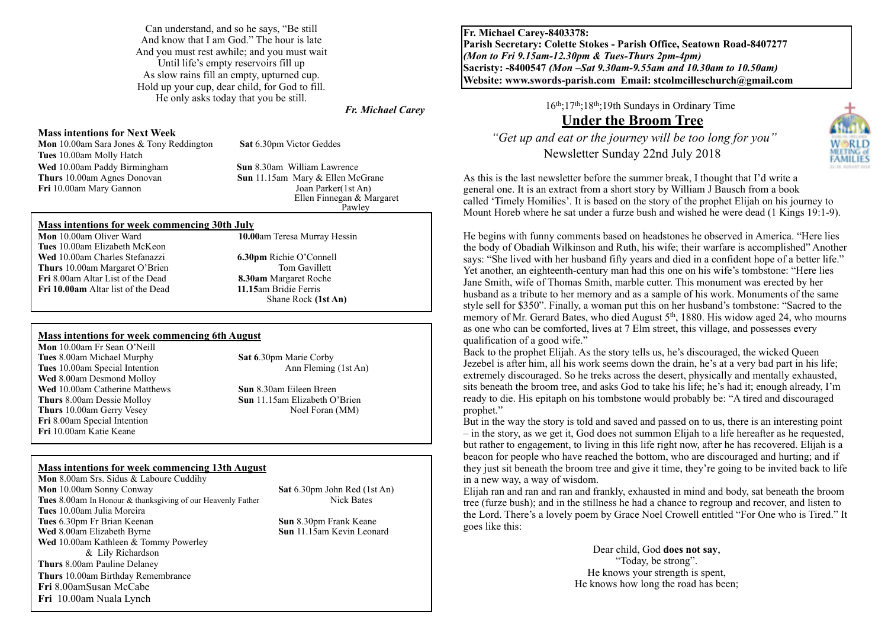Can understand, and so he says, "Be still And know that I am God." The hour is late And you must rest awhile; and you must wait Until life's empty reservoirs fill up As slow rains fill an empty, upturned cup. Hold up your cup, dear child, for God to fill. He only asks today that you be still.

### *Fr. Michael Carey*

#### **Mass intentions for Next Week**

**Mon** 10.00am Sara Jones & Tony Reddington **Sat** 6.30pm Victor Geddes **Tues** 10.00am Molly Hatch **Wed** 10.00am Paddy Birmingham **Sun** 8.30am William Lawrence<br> **Thurs** 10.00am Agnes Donovan **Sun** 11.15am Mary & Ellen Mc **Fri** 10.00am Mary Gannon

**Sun** 11.15am Mary & Ellen McGrane<br> **Joan Parker(1st An)**  Ellen Finnegan & Margaret **Pawley** 

### **Mass intentions for week commencing 30th July**

**Tues** 10.00am Elizabeth McKeon **Wed** 10.00am Charles Stefanazzi **6.30pm** Richie O'Connell **Thurs** 10.00am Margaret O'Brien Tom Gavillett **Fri** 8.00am Altar List of the Dead **8.30am** Margaret Roche<br>**Fri 10.00am** Altar list of the Dead **11.15**am Bridie Ferris **Fri 10.00am** Altar list of the Dead

**Mon** 10.00am Oliver Ward **10.00**am Teresa Murray Hessin

Shane Rock **(1st An)** 

### **Mass intentions for week commencing 6th August**

**Mon** 10.00am Fr Sean O'Neill **Tues** 8.00am Michael Murphy **Sat 6**.30pm Marie Corby<br> **Tues** 10.00am Special Intention Ann Fleming (1st An) **Tues** 10.00am Special Intention **Wed** 8.00am Desmond Molloy **Wed** 10.00am Catherine Matthews **Sun** 8.30am Eileen Breen **Thurs** 8.00am Dessie Molloy **Sun** 11.15am Elizabeth O'Brien **Thurs** 10.00am Gerry Vesey Noel Foran (MM) **Fri** 8.00am Special Intention **Fri** 10.00am Katie Keane

### **Mass intentions for week commencing 13th August**

**Mon** 8.00am Srs. Sidus & Laboure Cuddihy **Mon** 10.00am Sonny Conway **Sat 6.30pm John Red (1st An) Tues** 8.00am In Honour & thanksgiving of our Heavenly Father Nick Bates **Tues** 10.00am Julia Moreira **Tues** 6.30pm Fr Brian Keenan **Sun** 8.30pm Frank Keane **Sun** 8.30pm Frank Keane **Wed** 8.00am Elizabeth Byrne **Sun** 1.15am Kevin Leonard **Wed** 8.00am Elizabeth Byrne **Wed** 10.00am Kathleen & Tommy Powerley & Lily Richardson **Thurs** 8.00am Pauline Delaney **Thurs** 10.00am Birthday Remembrance **Fri** 8.00amSusan McCabe **Fri** 10.00am Nuala Lynch

**Fr. Michael Carey-8403378: Parish Secretary: Colette Stokes - Parish Office, Seatown Road-8407277**  *(Mon to Fri 9.15am-12.30pm & Tues-Thurs 2pm-4pm)*  **Sacristy: -8400547** *(Mon –Sat 9.30am-9.55am and 10.30am to 10.50am)* **Website: [www.swords-parish.com Email:](http://www.swords-parish.com%20%20email) stcolmcilleschurch@gmail.com**

16th;17th;18th;19th Sundays in Ordinary Time

# **Under the Broom Tree**

 *"Get up and eat or the journey will be too long for you"*  Newsletter Sunday 22nd July 2018



As this is the last newsletter before the summer break, I thought that I'd write a general one. It is an extract from a short story by William J Bausch from a book called 'Timely Homilies'. It is based on the story of the prophet Elijah on his journey to Mount Horeb where he sat under a furze bush and wished he were dead (1 Kings 19:1-9).

He begins with funny comments based on headstones he observed in America. "Here lies the body of Obadiah Wilkinson and Ruth, his wife; their warfare is accomplished" Another says: "She lived with her husband fifty years and died in a confident hope of a better life." Yet another, an eighteenth-century man had this one on his wife's tombstone: "Here lies Jane Smith, wife of Thomas Smith, marble cutter. This monument was erected by her husband as a tribute to her memory and as a sample of his work. Monuments of the same style sell for \$350". Finally, a woman put this on her husband's tombstone: "Sacred to the memory of Mr. Gerard Bates, who died August 5th, 1880. His widow aged 24, who mourns as one who can be comforted, lives at 7 Elm street, this village, and possesses every qualification of a good wife."

Back to the prophet Elijah. As the story tells us, he's discouraged, the wicked Queen Jezebel is after him, all his work seems down the drain, he's at a very bad part in his life; extremely discouraged. So he treks across the desert, physically and mentally exhausted, sits beneath the broom tree, and asks God to take his life; he's had it; enough already, I'm ready to die. His epitaph on his tombstone would probably be: "A tired and discouraged prophet."

But in the way the story is told and saved and passed on to us, there is an interesting point – in the story, as we get it, God does not summon Elijah to a life hereafter as he requested, but rather to engagement, to living in this life right now, after he has recovered. Elijah is a beacon for people who have reached the bottom, who are discouraged and hurting; and if they just sit beneath the broom tree and give it time, they're going to be invited back to life in a new way, a way of wisdom.

Elijah ran and ran and ran and frankly, exhausted in mind and body, sat beneath the broom tree (furze bush); and in the stillness he had a chance to regroup and recover, and listen to the Lord. There's a lovely poem by Grace Noel Crowell entitled "For One who is Tired." It goes like this:

> Dear child, God **does not say**, "Today, be strong". He knows your strength is spent, He knows how long the road has been;